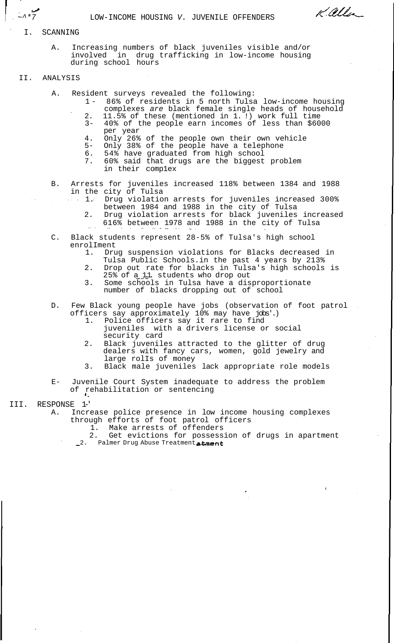~^\*7 LOW-INCOME HOUSING V. JUVENILE OFFENDERS

I. SCANNING

- A. Increasing numbers of black juveniles visible and/or involved in drug trafficking in low-income housing during school hours
- II. ANALYSIS
	- A. Resident surveys revealed the following:
		- 1 86% of residents in 5 north Tulsa low-income housing complexes are black female single heads of household

Kalla

- 2. 11.5% of these (mentioned in 1. !) work full time 3- 40% of the people earn incomes of less than \$6000 per year
- 4. Only 26% of the people own their own vehicle
- 5- Only 38% of the people have a telephone
- 6. 54% have graduated from high school
- 7. 60% said that drugs are the biggest problem in their comp1ex
- B. Arrests for juveniles increased 118% between 1384 and 1988 in the city of Tulsa
	- 1. Drug violation arrests for juveniles increased 300% between 1984 and 1988 in the city of Tulsa
	- 2. Drug violation arrests for black juveniles increased 616% between 1978 and 1988 in the city of Tulsa
- C. Black students represent 28-5% of Tulsa's high school enrolIment
	- 1. Drug suspension violations for Blacks decreased in
	- Tulsa Public Schools.in the past 4 years by 213%
	- 2. Drop out rate for blacks in Tulsa's high schools is 25% of a 11. students who drop out
	- 3. Some schools in Tulsa have a disproportionate number of blacks dropping out of school
- D. Few Black young people have jobs (observation of foot patrol officers say approximately 10% may have jobs'.)
	- 1. Police officers say it rare to find juveniles with a drivers license or social security card
	- 2. Black juveniles attracted to the glitter of drug dealers with fancy cars, women, gold jewelry and large rolIs of money
	- 3. Black male juveniles lack appropriate role models
- E- Juvenile Court System inadequate to address the problem of rehabilitation or sentencing
- III. RESPONSE 1-'

A. Increase police presence in low income housing complexes through efforts of foot patrol officers

1. Make arrests of offenders

2. Get evictions for possession of drugs in apartment \_2. Palmer Drug Abuse Treatment